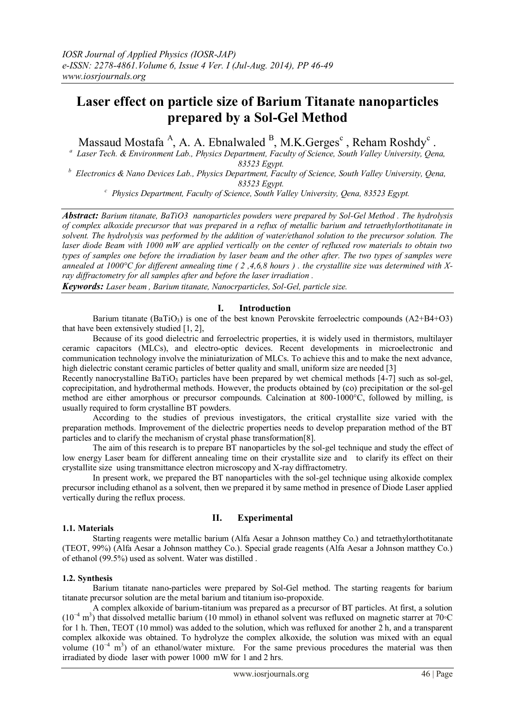# **Laser effect on particle size of Barium Titanate nanoparticles prepared by a Sol-Gel Method**

Massaud Mostafa<sup>A</sup>, A. A. Ebnalwaled  $B$ , M.K. Gerges<sup>c</sup>, Reham Roshdy<sup>c</sup>.

*a Laser Tech. & Environment Lab., Physics Department, Faculty of Science, South Valley University, Qena, 83523 Egypt.*

*<sup>b</sup> Electronics & Nano Devices Lab., Physics Department, Faculty of Science, South Valley University, Qena, 83523 Egypt.*

*<sup>c</sup> Physics Department, Faculty of Science, South Valley University, Qena, 83523 Egypt.*

*Abstract: Barium titanate, BaTiO3 nanoparticles powders were prepared by Sol-Gel Method . The hydrolysis of complex alkoxide precursor that was prepared in a reflux of metallic barium and tetraethylorthotitanate in solvent. The hydrolysis was performed by the addition of water/ethanol solution to the precursor solution. The laser diode Beam with 1000 mW are applied vertically on the center of refluxed row materials to obtain two types of samples one before the irradiation by laser beam and the other after. The two types of samples were annealed at 1000°C for different annealing time ( 2 ,4,6,8 hours ) . the crystallite size was determined with Xray diffractometry for all samples after and before the laser irradiation .* 

*Keywords: Laser beam , Barium titanate, Nanocrparticles, Sol-Gel, particle size.*

# **I. Introduction**

Barium titanate (BaTiO<sub>3</sub>) is one of the best known Perovskite ferroelectric compounds  $(A2+B4+O3)$ that have been extensively studied [1, 2],

Because of its good dielectric and ferroelectric properties, it is widely used in thermistors, multilayer ceramic capacitors (MLCs), and electro-optic devices. Recent developments in microelectronic and communication technology involve the miniaturization of MLCs. To achieve this and to make the next advance, high dielectric constant ceramic particles of better quality and small, uniform size are needed [3]

Recently nanocrystalline BaTiO<sub>3</sub> particles have been prepared by wet chemical methods [4-7] such as sol-gel, coprecipitation, and hydrothermal methods. However, the products obtained by (co) precipitation or the sol-gel method are either amorphous or precursor compounds. Calcination at 800-1000°C, followed by milling, is usually required to form crystalline BT powders.

According to the studies of previous investigators, the critical crystallite size varied with the preparation methods. Improvement of the dielectric properties needs to develop preparation method of the BT particles and to clarify the mechanism of crystal phase transformation[8].

The aim of this research is to prepare BT nanoparticles by the sol-gel technique and study the effect of low energy Laser beam for different annealing time on their crystallite size and to clarify its effect on their crystallite size using transmittance electron microscopy and X-ray diffractometry.

In present work, we prepared the BT nanoparticles with the sol-gel technique using alkoxide complex precursor including ethanol as a solvent, then we prepared it by same method in presence of Diode Laser applied vertically during the reflux process.

# **1.1. Materials**

# **II. Experimental**

Starting reagents were metallic barium (Alfa Aesar a Johnson matthey Co.) and tetraethylorthotitanate (TEOT, 99%) (Alfa Aesar a Johnson matthey Co.). Special grade reagents (Alfa Aesar a Johnson matthey Co.) of ethanol (99.5%) used as solvent. Water was distilled .

# **1.2. Synthesis**

Barium titanate nano-particles were prepared by Sol-Gel method. The starting reagents for barium titanate precursor solution are the metal barium and titanium iso-propoxide.

A complex alkoxide of barium-titanium was prepared as a precursor of BT particles. At first, a solution (10<sup>−</sup><sup>4</sup> m 3 ) that dissolved metallic barium (10 mmol) in ethanol solvent was refluxed on magnetic starrer at 70◦C for 1 h. Then, TEOT (10 mmol) was added to the solution, which was refluxed for another 2 h, and a transparent complex alkoxide was obtained. To hydrolyze the complex alkoxide, the solution was mixed with an equal volume  $(10^{-4} \text{ m}^3)$  of an ethanol/water mixture. For the same previous procedures the material was then irradiated by diode laser with power 1000 mW for 1 and 2 hrs.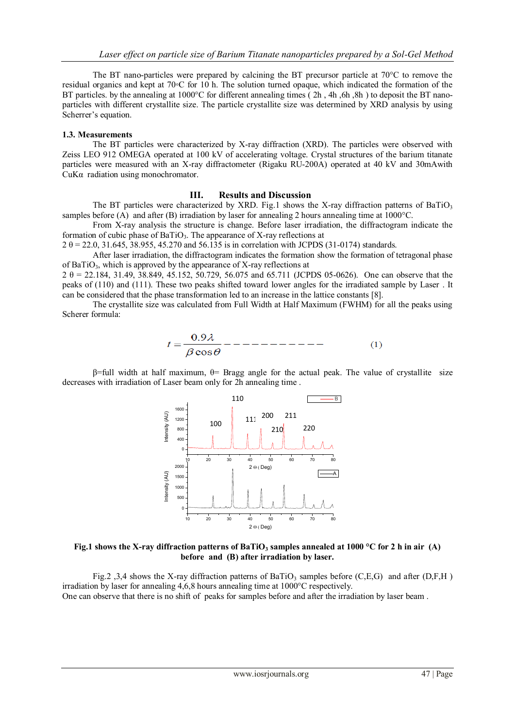The BT nano-particles were prepared by calcining the BT precursor particle at 70°C to remove the residual organics and kept at 70◦C for 10 h. The solution turned opaque, which indicated the formation of the BT particles. by the annealing at 1000<sup>o</sup>C for different annealing times (2h, 4h, 6h, 8h) to deposit the BT nanoparticles with different crystallite size. The particle crystallite size was determined by XRD analysis by using Scherrer's equation.

#### **1.3. Measurements**

The BT particles were characterized by X-ray diffraction (XRD). The particles were observed with Zeiss LEO 912 OMEGA operated at 100 kV of accelerating voltage. Crystal structures of the barium titanate particles were measured with an X-ray diffractometer (Rigaku RU-200A) operated at 40 kV and 30mAwith CuKα radiation using monochromator.

### **III. Results and Discussion**

The BT particles were characterized by XRD. Fig.1 shows the X-ray diffraction patterns of BaTiO<sub>3</sub> samples before (A) and after (B) irradiation by laser for annealing 2 hours annealing time at  $1000^{\circ}$ C.

From X-ray analysis the structure is change. Before laser irradiation, the diffractogram indicate the formation of cubic phase of BaTiO<sub>3</sub>. The appearance of X-ray reflections at

 $2 \theta = 22.0, 31.645, 38.955, 45.270$  and 56.135 is in correlation with JCPDS (31-0174) standards.

After laser irradiation, the diffractogram indicates the formation show the formation of tetragonal phase of BaTiO<sub>3</sub>, which is approved by the appearance of X-ray reflections at

 $2 \theta = 22.184, 31.49, 38.849, 45.152, 50.729, 56.075$  and 65.711 (JCPDS 05-0626). One can observe that the peaks of (110) and (111). These two peaks shifted toward lower angles for the irradiated sample by Laser . It can be considered that the phase transformation led to an increase in the lattice constants [8].

 The crystallite size was calculated from Full Width at Half Maximum (FWHM) for all the peaks using Scherer formula:

$$
t = \frac{0.9\lambda}{\beta \cos \theta} \quad - \quad - \quad - \quad - \quad (1)
$$

 $β=full$  width at half maximum,  $θ=$  Bragg angle for the actual peak. The value of crystallite size decreases with irradiation of Laser beam only for 2h annealing time .



**Fig.1 shows the X-ray diffraction patterns of BaTiO<sup>3</sup> samples annealed at 1000 °C for 2 h in air (A) before and (B) after irradiation by laser.**

Fig.2 ,3,4 shows the X-ray diffraction patterns of BaTiO<sub>3</sub> samples before  $(C, E, G)$  and after  $(D, F, H)$ irradiation by laser for annealing 4,6,8 hours annealing time at 1000°C respectively. One can observe that there is no shift of peaks for samples before and after the irradiation by laser beam .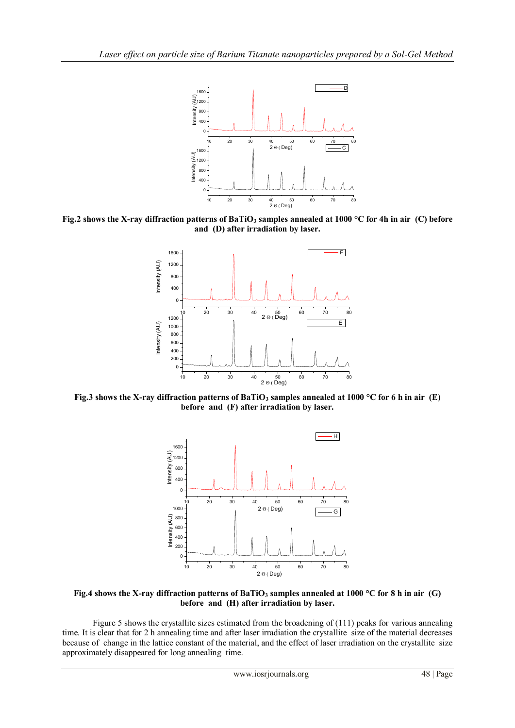

**Fig.2 shows the X-ray diffraction patterns of BaTiO<sup>3</sup> samples annealed at 1000 °C for 4h in air (C) before and (D) after irradiation by laser.**



**Fig.3 shows the X-ray diffraction patterns of BaTiO<sup>3</sup> samples annealed at 1000 °C for 6 h in air (E) before and (F) after irradiation by laser.**



**Fig.4 shows the X-ray diffraction patterns of BaTiO<sup>3</sup> samples annealed at 1000 °C for 8 h in air (G) before and (H) after irradiation by laser.**

Figure 5 shows the crystallite sizes estimated from the broadening of (111) peaks for various annealing time. It is clear that for 2 h annealing time and after laser irradiation the crystallite size of the material decreases because of change in the lattice constant of the material, and the effect of laser irradiation on the crystallite size approximately disappeared for long annealing time.